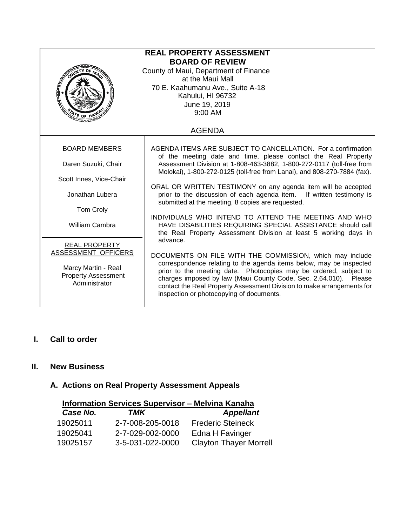| <b>REAL PROPERTY ASSESSMENT</b><br><b>BOARD OF REVIEW</b><br>County of Maui, Department of Finance<br>at the Maui Mall<br>70 E. Kaahumanu Ave., Suite A-18<br>Kahului, HI 96732<br>June 19, 2019<br>9:00 AM<br>$\mathbb{V}$ e or H |                                                                                                                                                                                                                                                                                                                                                                                                |  |  |
|------------------------------------------------------------------------------------------------------------------------------------------------------------------------------------------------------------------------------------|------------------------------------------------------------------------------------------------------------------------------------------------------------------------------------------------------------------------------------------------------------------------------------------------------------------------------------------------------------------------------------------------|--|--|
| <b>AGENDA</b>                                                                                                                                                                                                                      |                                                                                                                                                                                                                                                                                                                                                                                                |  |  |
| <b>BOARD MEMBERS</b>                                                                                                                                                                                                               | AGENDA ITEMS ARE SUBJECT TO CANCELLATION. For a confirmation<br>of the meeting date and time, please contact the Real Property                                                                                                                                                                                                                                                                 |  |  |
| Daren Suzuki, Chair                                                                                                                                                                                                                | Assessment Division at 1-808-463-3882, 1-800-272-0117 (toll-free from<br>Molokai), 1-800-272-0125 (toll-free from Lanai), and 808-270-7884 (fax).                                                                                                                                                                                                                                              |  |  |
| Scott Innes, Vice-Chair                                                                                                                                                                                                            |                                                                                                                                                                                                                                                                                                                                                                                                |  |  |
| Jonathan Lubera                                                                                                                                                                                                                    | ORAL OR WRITTEN TESTIMONY on any agenda item will be accepted<br>prior to the discussion of each agenda item. If written testimony is<br>submitted at the meeting, 8 copies are requested.                                                                                                                                                                                                     |  |  |
| Tom Croly                                                                                                                                                                                                                          |                                                                                                                                                                                                                                                                                                                                                                                                |  |  |
| <b>William Cambra</b>                                                                                                                                                                                                              | INDIVIDUALS WHO INTEND TO ATTEND THE MEETING AND WHO<br>HAVE DISABILITIES REQUIRING SPECIAL ASSISTANCE should call<br>the Real Property Assessment Division at least 5 working days in                                                                                                                                                                                                         |  |  |
| <b>REAL PROPERTY</b>                                                                                                                                                                                                               | advance.                                                                                                                                                                                                                                                                                                                                                                                       |  |  |
| ASSESSMENT OFFICERS<br>Marcy Martin - Real<br><b>Property Assessment</b><br>Administrator                                                                                                                                          | DOCUMENTS ON FILE WITH THE COMMISSION, which may include<br>correspondence relating to the agenda items below, may be inspected<br>prior to the meeting date. Photocopies may be ordered, subject to<br>charges imposed by law (Maui County Code, Sec. 2.64.010). Please<br>contact the Real Property Assessment Division to make arrangements for<br>inspection or photocopying of documents. |  |  |

# **I. Call to order**

## **II. New Business**

# **A. Actions on Real Property Assessment Appeals**

| <b>Information Services Supervisor - Melvina Kanaha</b> |                               |  |  |  |
|---------------------------------------------------------|-------------------------------|--|--|--|
| TMK                                                     | <b>Appellant</b>              |  |  |  |
| 2-7-008-205-0018                                        | <b>Frederic Steineck</b>      |  |  |  |
| 2-7-029-002-0000                                        | Edna H Favinger               |  |  |  |
| 3-5-031-022-0000                                        | <b>Clayton Thayer Morrell</b> |  |  |  |
|                                                         |                               |  |  |  |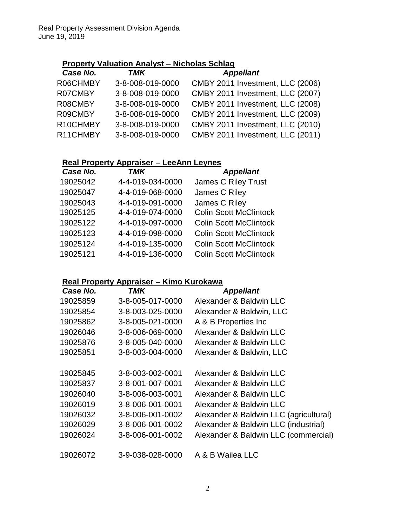# **Property Valuation Analyst – Nicholas Schlag**

| Case No. | <b>TMK</b>       | <b>Appellant</b>                 |
|----------|------------------|----------------------------------|
| R06CHMBY | 3-8-008-019-0000 | CMBY 2011 Investment, LLC (2006) |
| R07CMBY  | 3-8-008-019-0000 | CMBY 2011 Investment, LLC (2007) |
| R08CMBY  | 3-8-008-019-0000 | CMBY 2011 Investment, LLC (2008) |
| R09CMBY  | 3-8-008-019-0000 | CMBY 2011 Investment, LLC (2009) |
| R10CHMBY | 3-8-008-019-0000 | CMBY 2011 Investment, LLC (2010) |
| R11CHMBY | 3-8-008-019-0000 | CMBY 2011 Investment, LLC (2011) |
|          |                  |                                  |

# **Real Property Appraiser – LeeAnn Leynes**

| Case No. | TMK              | <b>Appellant</b>              |
|----------|------------------|-------------------------------|
| 19025042 | 4-4-019-034-0000 | <b>James C Riley Trust</b>    |
| 19025047 | 4-4-019-068-0000 | James C Riley                 |
| 19025043 | 4-4-019-091-0000 | James C Riley                 |
| 19025125 | 4-4-019-074-0000 | <b>Colin Scott McClintock</b> |
| 19025122 | 4-4-019-097-0000 | <b>Colin Scott McClintock</b> |
| 19025123 | 4-4-019-098-0000 | <b>Colin Scott McClintock</b> |
| 19025124 | 4-4-019-135-0000 | <b>Colin Scott McClintock</b> |
| 19025121 | 4-4-019-136-0000 | <b>Colin Scott McClintock</b> |

## **Real Property Appraiser – Kimo Kurokawa**

| Case No. | TMK              | <b>Appellant</b>                       |
|----------|------------------|----------------------------------------|
| 19025859 | 3-8-005-017-0000 | Alexander & Baldwin LLC                |
| 19025854 | 3-8-003-025-0000 | Alexander & Baldwin, LLC               |
| 19025862 | 3-8-005-021-0000 | A & B Properties Inc.                  |
| 19026046 | 3-8-006-069-0000 | Alexander & Baldwin LLC                |
| 19025876 | 3-8-005-040-0000 | Alexander & Baldwin LLC                |
| 19025851 | 3-8-003-004-0000 | Alexander & Baldwin, LLC               |
|          |                  |                                        |
| 19025845 | 3-8-003-002-0001 | Alexander & Baldwin LLC                |
| 19025837 | 3-8-001-007-0001 | Alexander & Baldwin LLC                |
| 19026040 | 3-8-006-003-0001 | Alexander & Baldwin LLC                |
| 19026019 | 3-8-006-001-0001 | Alexander & Baldwin LLC                |
| 19026032 | 3-8-006-001-0002 | Alexander & Baldwin LLC (agricultural) |
| 19026029 | 3-8-006-001-0002 | Alexander & Baldwin LLC (industrial)   |
| 19026024 | 3-8-006-001-0002 | Alexander & Baldwin LLC (commercial)   |
|          |                  |                                        |
| 19026072 | 3-9-038-028-0000 | A & B Wailea LLC                       |